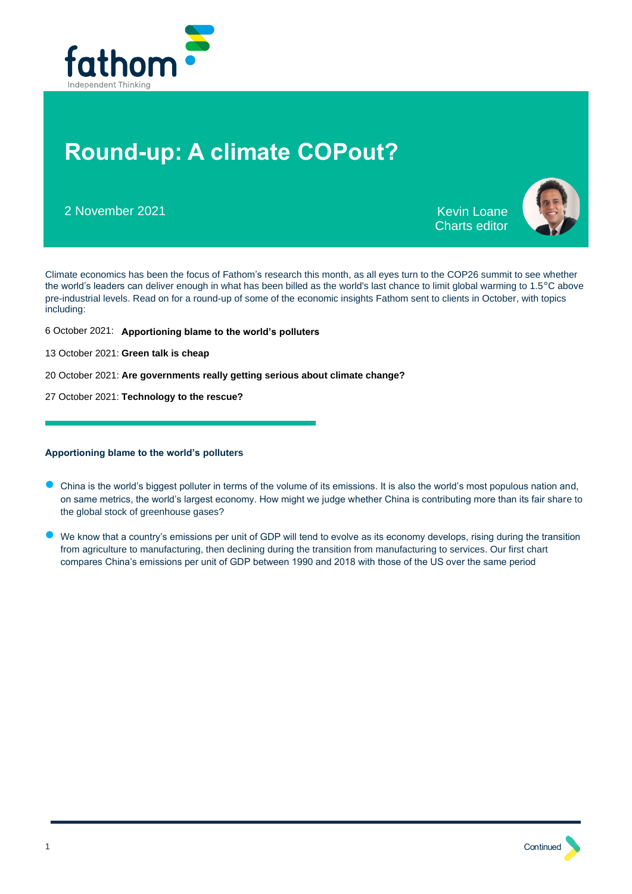

# **Round-up: A climate COPout?**

2 November 2021 Kevin Loane

Charts editor



Climate economics has been the focus of Fathom's research this month, as all eyes turn to the COP26 summit to see whether the world's leaders can deliver enough in what has been billed as the world's last chance to limit global warming to  $1.5^{\circ}$ C above pre-industrial levels. Read on for a round-up of some of the economic insights Fathom sent to clients in October, with topics including:

- 6 October 2021: **[Apportioning blame to the world's polluters](#page-0-0)**
- 13 October 2021: **[Green talk is cheap](#page-2-0)**
- 20 October 2021: **[Are governments really getting serious about climate change?](#page-4-0)**
- 27 October 2021: **[Technology to the rescue?](#page-5-0)**

# <span id="page-0-0"></span>**Apportioning blame to the world's polluters**

- China is the world's biggest polluter in terms of the volume of its emissions. It is also the world's most populous nation and, on same metrics, the world's largest economy. How might we judge whether China is contributing more than its fair share to the global stock of greenhouse gases?
- We know that a country's emissions per unit of GDP will tend to evolve as its economy develops, rising during the transition from agriculture to manufacturing, then declining during the transition from manufacturing to services. Our first chart compares China's emissions per unit of GDP between 1990 and 2018 with those of the US over the same period

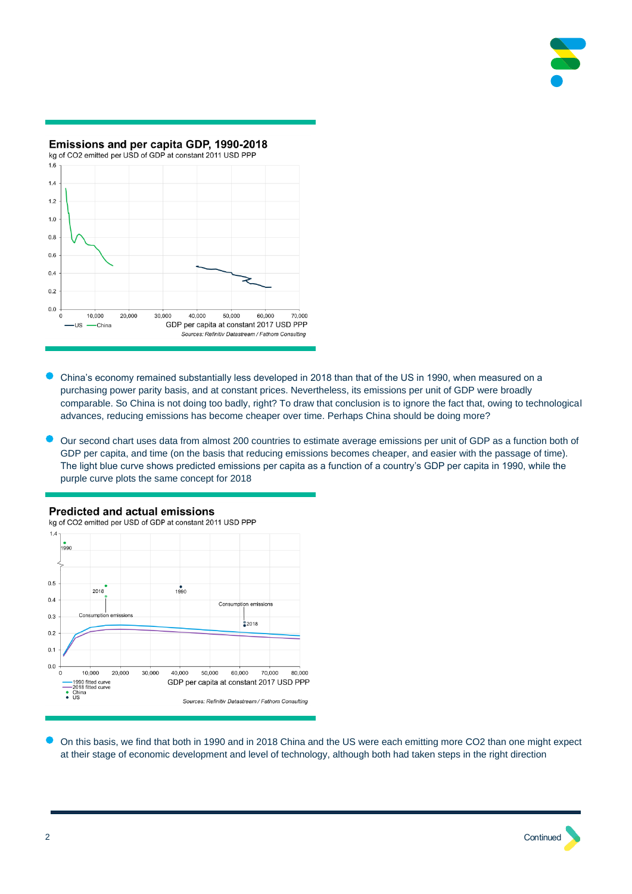



- China's economy remained substantially less developed in 2018 than that of the US in 1990, when measured on a purchasing power parity basis, and at constant prices. Nevertheless, its emissions per unit of GDP were broadly comparable. So China is not doing too badly, right? To draw that conclusion is to ignore the fact that, owing to technological advances, reducing emissions has become cheaper over time. Perhaps China should be doing more?
- Our second chart uses data from almost 200 countries to estimate average emissions per unit of GDP as a function both of GDP per capita, and time (on the basis that reducing emissions becomes cheaper, and easier with the passage of time). The light blue curve shows predicted emissions per capita as a function of a country's GDP per capita in 1990, while the purple curve plots the same concept for 2018

# **Predicted and actual emissions**

kg of CO2 emitted per USD of GDP at constant 2011 USD PPP  $1.$  $990$  $0.5$  $1990$ 2018  $0.4$ Consumption emissions Consumption emission  $0.3$  $2018$  $0.2$  $0.1$  $0.0$ 10,000 30.000 40.000 50,000 60,000 70,000 80,000  $\Omega$ 20,000 –1990 fitted curve<br>–2018 fitted curve<br>China<br>US GDP per capita at constant 2017 USD PPP ÷ Sources: Refinitiv Datastream / Fathom Consulting

• On this basis, we find that both in 1990 and in 2018 China and the US were each emitting more CO2 than one might expect at their stage of economic development and level of technology, although both had taken steps in the right direction

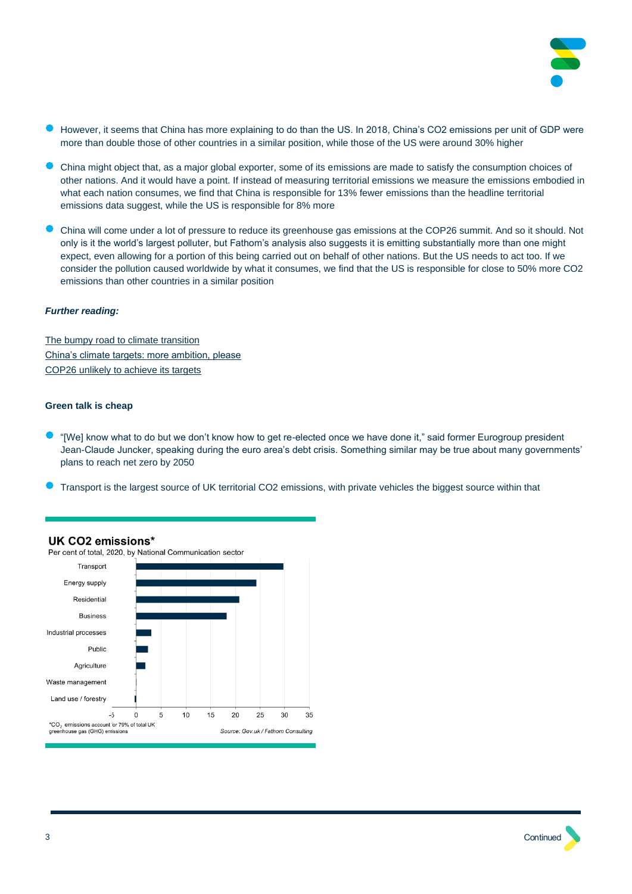

- However, it seems that China has more explaining to do than the US. In 2018, China's CO2 emissions per unit of GDP were more than double those of other countries in a similar position, while those of the US were around 30% higher
- China might object that, as a major global exporter, some of its emissions are made to satisfy the consumption choices of other nations. And it would have a point. If instead of measuring territorial emissions we measure the emissions embodied in what each nation consumes, we find that China is responsible for 13% fewer emissions than the headline territorial emissions data suggest, while the US is responsible for 8% more
- China will come under a lot of pressure to reduce its greenhouse gas emissions at the COP26 summit. And so it should. Not only is it the world's largest polluter, but Fathom's analysis also suggests it is emitting substantially more than one might expect, even allowing for a portion of this being carried out on behalf of other nations. But the US needs to act too. If we consider the pollution caused worldwide by what it consumes, we find that the US is responsible for close to 50% more CO2 emissions than other countries in a similar position

#### *Further reading:*

[The bumpy road to climate transition](https://www.fathom-consulting.com/wp-content/uploads/protected-uploads/613b75b09150b-outlk-the-bumpy-road-to-climate-transition.pdf) China's climate targets: more ambition, please [COP26 unlikely to achieve its targets](https://www.fathom-consulting.com/wp-content/uploads/protected-uploads/614b2e040d9ab-cop26-unlikely-to-achieve-its-targets.pdf)

#### <span id="page-2-0"></span>**Green talk is cheap**

- "[We] know what to do but we don't know how to get re-elected once we have done it." said former Eurogroup president Jean-Claude Juncker, speaking during the euro area's debt crisis. Something similar may be true about many governments' plans to reach net zero by 2050
- Transport is the largest source of UK territorial CO2 emissions, with private vehicles the biggest source within that



# UK CO2 emissions\*

Per cent of total, 2020, by National Communication sector

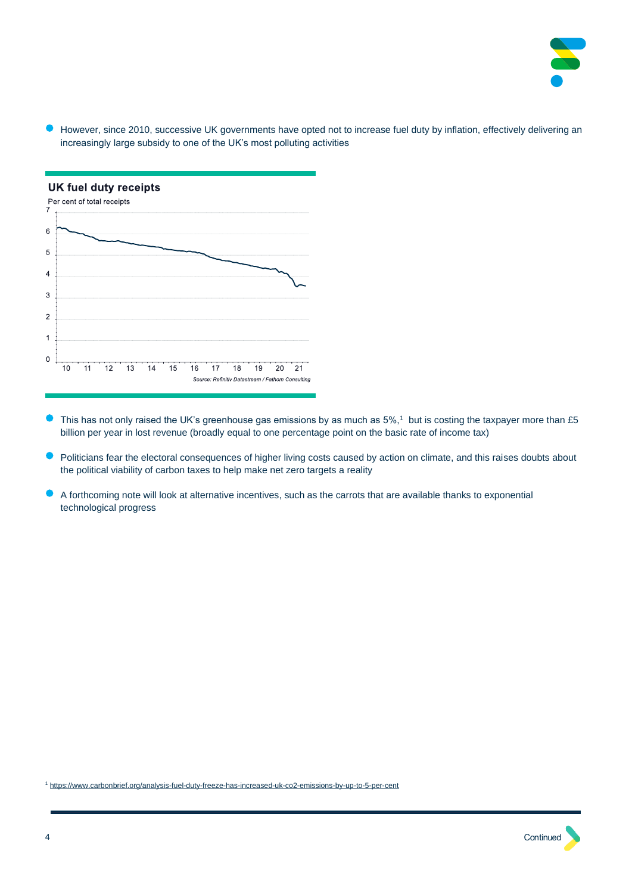

• However, since 2010, successive UK governments have opted not to increase fuel duty by inflation, effectively delivering an increasingly large subsidy to one of the UK's most polluting activities



- $\bullet$  This has not only raised the UK's greenhouse gas emissions by as much as 5%,<sup>1</sup> but is costing the taxpayer more than £5 billion per year in lost revenue (broadly equal to one percentage point on the basic rate of income tax)
- Politicians fear the electoral consequences of higher living costs caused by action on climate, and this raises doubts about the political viability of carbon taxes to help make net zero targets a reality
- A forthcoming note will look at alternative incentives, such as the carrots that are available thanks to exponential technological progress

<sup>1</sup> <https://www.carbonbrief.org/analysis-fuel-duty-freeze-has-increased-uk-co2-emissions-by-up-to-5-per-cent>

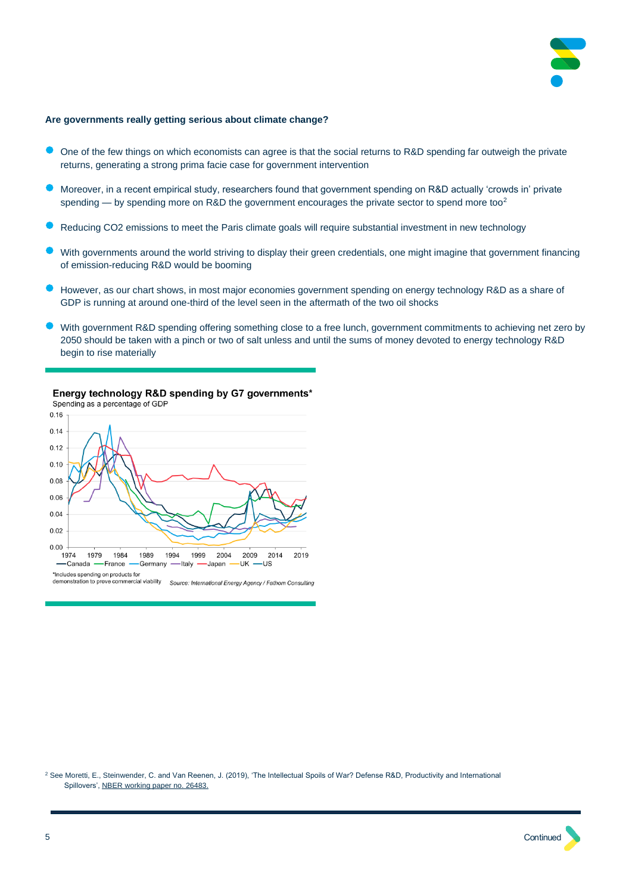<span id="page-4-0"></span>

#### **Are governments really getting serious about climate change?**

- One of the few things on which economists can agree is that the social returns to R&D spending far outweigh the private returns, generating a strong prima facie case for government intervention
- Moreover, in a recent empirical study, researchers found that government spending on R&D actually 'crowds in' private spending — by spending more on R&D the government encourages the private sector to spend more too<sup>2</sup>
- Reducing CO2 emissions to meet the Paris climate goals will require substantial investment in new technology
- With governments around the world striving to display their green credentials, one might imagine that government financing of emission-reducing R&D would be booming
- However, as our chart shows, in most major economies government spending on energy technology R&D as a share of GDP is running at around one-third of the level seen in the aftermath of the two oil shocks
- With government R&D spending offering something close to a free lunch, government commitments to achieving net zero by 2050 should be taken with a pinch or two of salt unless and until the sums of money devoted to energy technology R&D begin to rise materially

# Energy technology R&D spending by G7 governments\*



<sup>2</sup> See Moretti, E., Steinwender, C. and Van Reenen, J. (2019), 'The Intellectual Spoils of War? Defense R&D, Productivity and International Spillovers'[, NBER working paper no. 26483.](https://www.nber.org/papers/w26483)

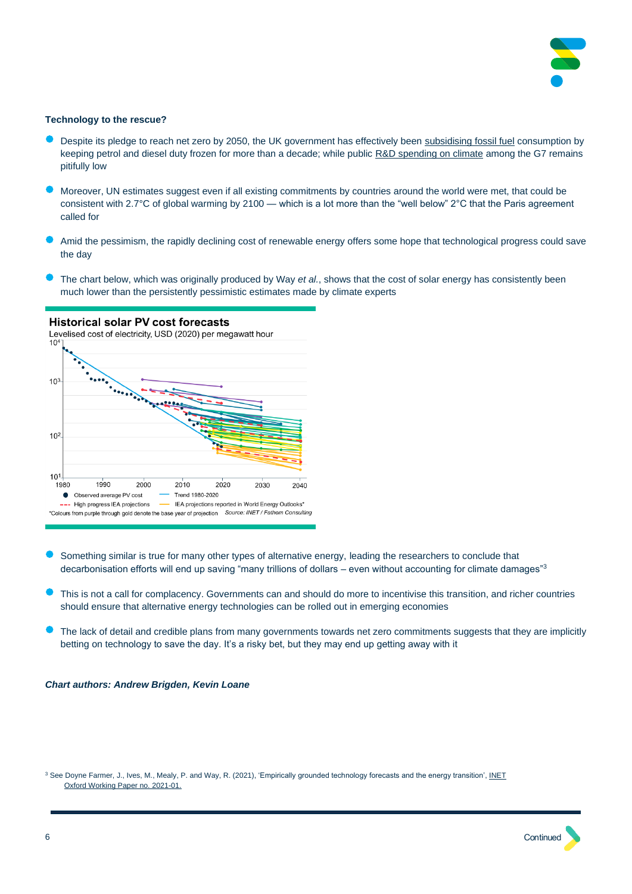

#### **Technology to the rescue?**

- <span id="page-5-0"></span>• Despite its pledge to reach net zero by 2050, the UK government has effectively been [subsidising fossil fuel](#page-2-0) consumption by keeping petrol and diesel duty frozen for more than a decade; while public [R&D spending on climate](#page-4-0) among the G7 remains pitifully low
- Moreover, UN estimates suggest even if all existing commitments by countries around the world were met, that could be consistent with 2.7°C of global warming by 2100 — which is a lot more than the "well below" 2°C that the Paris agreement called for
- Amid the pessimism, the rapidly declining cost of renewable energy offers some hope that technological progress could save the day
- The chart below, which was originally produced by Way *et al.*, shows that the cost of solar energy has consistently been much lower than the persistently pessimistic estimates made by climate experts



**Historical solar PV cost forecasts** 

- Something similar is true for many other types of alternative energy, leading the researchers to conclude that decarbonisation efforts will end up saving "many trillions of dollars – even without accounting for climate damages" $3$
- This is not a call for complacency. Governments can and should do more to incentivise this transition, and richer countries should ensure that alternative energy technologies can be rolled out in emerging economies
- The lack of detail and credible plans from many governments towards net zero commitments suggests that they are implicitly betting on technology to save the day. It's a risky bet, but they may end up getting away with it

#### *Chart authors: Andrew Brigden, Kevin Loane*

<sup>3</sup> See Doyne Farmer, J., Ives, M., Mealy, P. and Way, R. (2021), 'Empirically grounded technology forecasts and the energy transition', INET [Oxford Working Paper no. 2021-01.](https://www.inet.ox.ac.uk/files/energy_transition_paper-INET-working-paper.pdf)